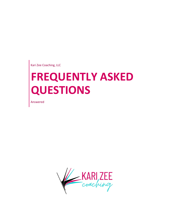Kari Zee Coaching, LLC

# FREQUENTLY ASKED QUESTIONS

Answered

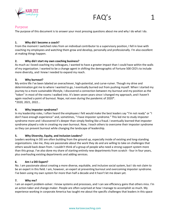

## Purpose

The purpose of this document is to answer your most pressing questions about me and why I do what I do.

#### 1. Why did I become a coach?

From the moment I switched roles from an individual contributor to a supervisory position, I fell in love with coaching my employees and watching them grow and develop, personally and professionally. I'm also excellent at making things happen.

#### 2. Why did I start my own coaching business?

As much as I loved coaching my colleagues, I wanted to have a greater impact than I could have within the walls of my organization. I wanted to be a change agent in shifting the demographic of Fortune 500 CEO's to include more diversity, and I knew I needed to expand my reach.

#### 3. Why burnout?

My entire life I've been labeled an overachiever, high-potential, and curve-ruiner. Though my drive and determination got me to where I wanted to go, I eventually burned out from pushing myself. When I started my journey to a more sustainable lifestyle, I discovered a connection between my burnout and my position as the "token" in most of the rooms I walked into. It's been seven years since I changed my approach, and I haven't again reached a point of burnout. Nope, not even during the pandemic of 2020\*. \*2020, 2021, 2022...

#### 4. Why imposter syndrome?

In my leadership roles, I often heard the employees I felt would make the best leaders say "I'm not ready" or "I don't have enough experience" and, sometimes, "I have imposter syndrome." This led me to study imposter syndrome more and I discovered it's deeper than simply feeling like a fraud. I eventually learned that imposter syndrome played a role in creating my own burnout. Now, I teach others to overcome their imposter syndrome so they can prevent burnout while changing the landscape of leadership.

#### 5. Why Diversity, Equity, and Inclusion Leaders?

Leaders working in DEI are often building from the ground up, especially inside of existing and long-standing organizations. Like me, they are passionate about the work they do and are willing to take on challenges that others would back down from. I couldn't think of a group of people who need a strong support system more than this group. I've also done my share of starting entirely new departments from scratch - four in four years, plus overhauling existing departments and adding services.

#### 6. Am I a DEI Expert?

No. I am passionate about creating a more diverse, equitable, and inclusive social system, but I do not claim to be an expert in this field. I am, however, an expert at preventing burnout and overcoming imposter syndrome. I've been using my own system for more than half a decade and it hasn't let me down yet.

### 7. Why me?

I am an expert problem-solver. I know systems and processes, and I can see efficiency gains that others miss. I'm an action-taker and change-maker. People are often surprised at how I manage to accomplish so much. My experience working in corporate America has taught me about the specific challenges that leaders in this space